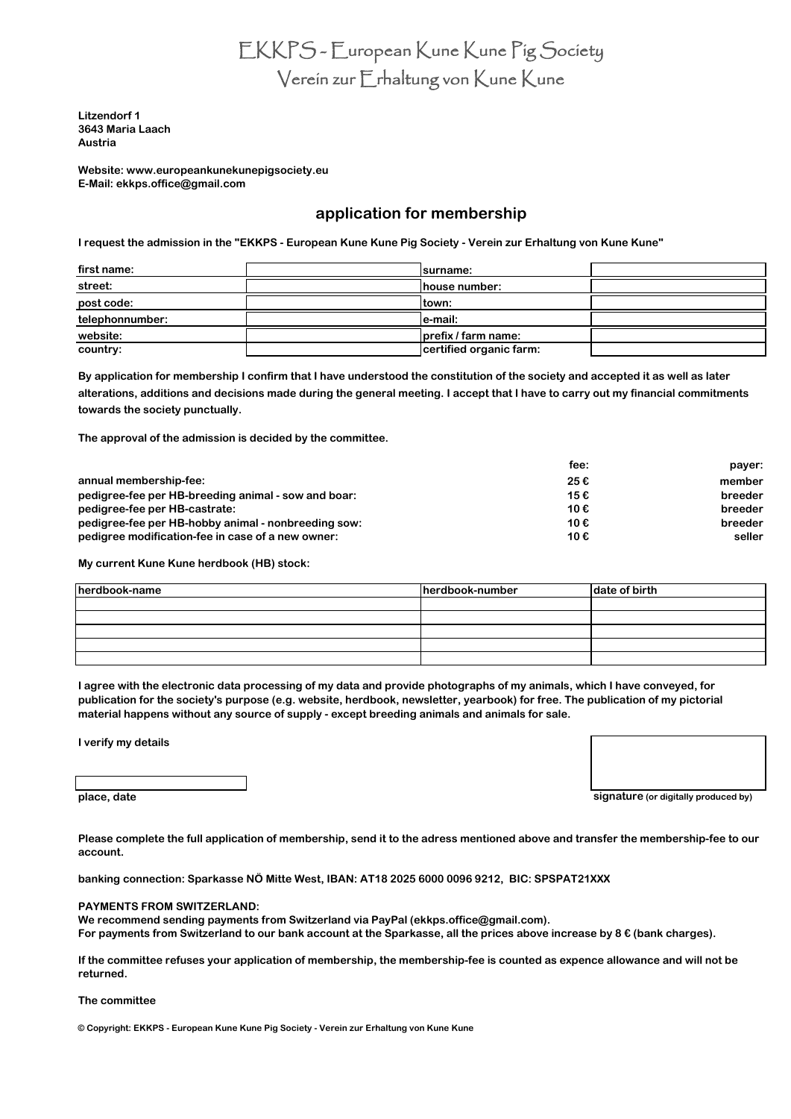EKKPS - European Kune Kune Pig Society Verein zur Erhaltung von Kune Kune

**Austria 3643 Maria Laach Litzendorf 1**

**[Website: www.europeankunekun](http://www.europeankunekunepigsociety.eu/)epigsociety.eu E-Mail: ekkps.office@gmail.com**

# **application for membership**

**I request the admission in the "EKKPS - European Kune Kune Pig Society - Verein zur Erhaltung von Kune Kune"**

| first name:     | surname:                |  |
|-----------------|-------------------------|--|
| street:         | house number:           |  |
| post code:      | town:                   |  |
| telephonnumber: | e-mail:                 |  |
| website:        | prefix / farm name:     |  |
| country:        | certified organic farm: |  |

**By application for membership I confirm that I have understood the constitution of the society and accepted it as well as later alterations, additions and decisions made during the general meeting. I accept that I have to carry out my financial commitments towards the society punctually.**

**The approval of the admission is decided by the committee.**

|                                                     | fee: | payer:  |
|-----------------------------------------------------|------|---------|
| annual membership-fee:                              | 25€  | member  |
| pedigree-fee per HB-breeding animal - sow and boar: | 15€  | breeder |
| pedigree-fee per HB-castrate:                       | 10€  | breeder |
| pedigree-fee per HB-hobby animal - nonbreeding sow: | 10€  | breeder |
| pedigree modification-fee in case of a new owner:   | 10€  | seller  |

**My current Kune Kune herdbook (HB) stock:**

| herdbook-name | herdbook-number | date of birth |
|---------------|-----------------|---------------|
|               |                 |               |
|               |                 |               |
|               |                 |               |
|               |                 |               |
|               |                 |               |

**I agree with the electronic data processing of my data and provide photographs of my animals, which I have conveyed, for publication for the society's purpose (e.g. website, herdbook, newsletter, yearbook) for free. The publication of my pictorial material happens without any source of supply - except breeding animals and animals for sale.**

**I verify my details**

**place, date signature** (or digitally produced by)

**Please complete the full application of membership, send it to the adress mentioned above and transfer the membership-fee to our account.**

**banking connection: Sparkasse NÖ Mitte West, IBAN: AT18 2025 6000 0096 9212, BIC: SPSPAT21XXX**

#### **PAYMENTS FROM SWITZERLAND:**

**We recommend sending payments from Switzerland via PayPal (ekkps.office@gmail.com). For payments from Switzerland to our bank account at the Sparkasse, all the prices above increase by 8 € (bank charges).**

**If the committee refuses your application of membership, the membership-fee is counted as expence allowance and will not be returned.**

### **The committee**

**© Copyright: EKKPS - European Kune Kune Pig Society - Verein zur Erhaltung von Kune Kune**